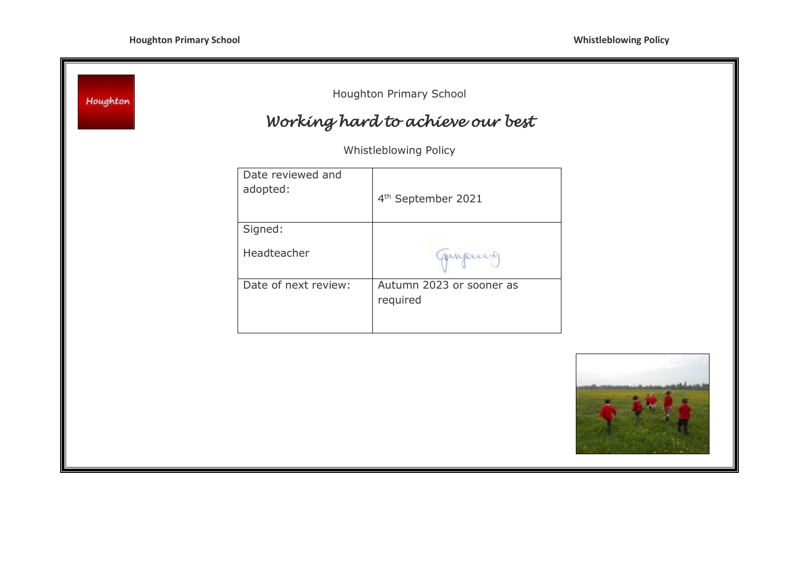| Houghton |                               | Houghton Primary School<br>Working hard to achieve our best |  |
|----------|-------------------------------|-------------------------------------------------------------|--|
|          |                               | Whistleblowing Policy                                       |  |
|          | Date reviewed and<br>adopted: | 4 <sup>th</sup> September 2021                              |  |
|          | Signed:<br>Headteacher        | myount                                                      |  |
|          | Date of next review:          | Autumn 2023 or sooner as<br>required                        |  |
|          |                               |                                                             |  |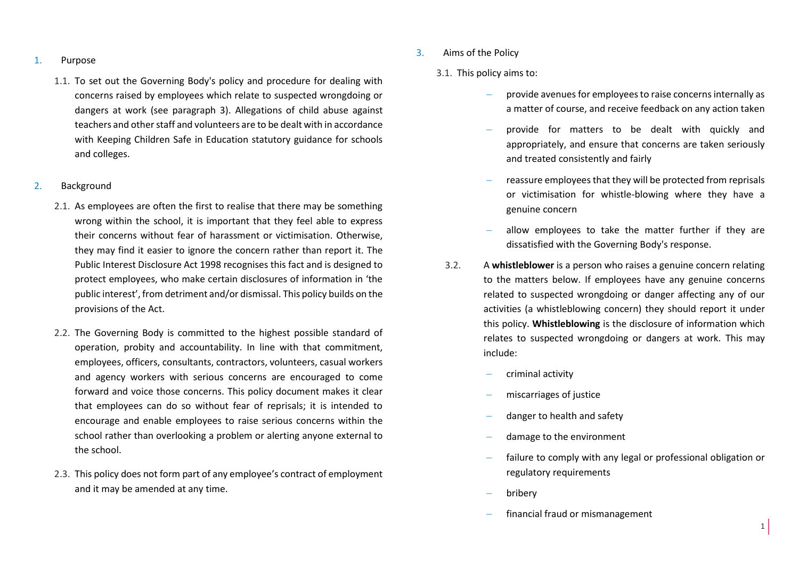#### 1. Purpose

1.1. To set out the Governing Body's policy and procedure for dealing with concerns raised by employees which relate to suspected wrongdoing or dangers at work (see paragraph 3). Allegations of child abuse against teachers and other staff and volunteers are to be dealt with in accordance with Keeping Children Safe in Education statutory guidance for schools and colleges.

#### 2. Background

- 2.1. As employees are often the first to realise that there may be something wrong within the school, it is important that they feel able to express their concerns without fear of harassment or victimisation. Otherwise, they may find it easier to ignore the concern rather than report it. The Public Interest Disclosure Act 1998 recognises this fact and is designed to protect employees, who make certain disclosures of information in 'the public interest', from detriment and/or dismissal. This policy builds on the provisions of the Act.
- 2.2. The Governing Body is committed to the highest possible standard of operation, probity and accountability. In line with that commitment, employees, officers, consultants, contractors, volunteers, casual workers and agency workers with serious concerns are encouraged to come forward and voice those concerns. This policy document makes it clear that employees can do so without fear of reprisals; it is intended to encourage and enable employees to raise serious concerns within the school rather than overlooking a problem or alerting anyone external to the school.
- 2.3. This policy does not form part of any employee's contract of employment and it may be amended at any time.
- 3. Aims of the Policy
	- 3.1. This policy aims to:
		- provide avenues for employees to raise concerns internally as a matter of course, and receive feedback on any action taken
		- provide for matters to be dealt with quickly and appropriately, and ensure that concerns are taken seriously and treated consistently and fairly
		- reassure employees that they will be protected from reprisals or victimisation for whistle-blowing where they have a genuine concern
		- allow employees to take the matter further if they are dissatisfied with the Governing Body's response.
		- 3.2. A **whistleblower** is a person who raises a genuine concern relating to the matters below. If employees have any genuine concerns related to suspected wrongdoing or danger affecting any of our activities (a whistleblowing concern) they should report it under this policy. **Whistleblowing** is the disclosure of information which relates to suspected wrongdoing or dangers at work. This may include:
			- criminal activity
			- miscarriages of justice
			- danger to health and safety
			- damage to the environment
			- failure to comply with any legal or professional obligation or regulatory requirements
			- bribery
			- financial fraud or mismanagement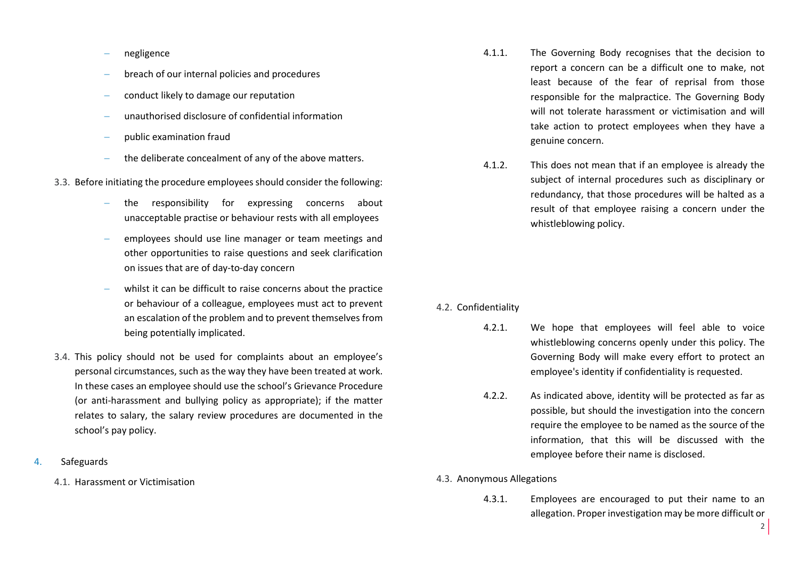- negligence
- breach of our internal policies and procedures
- conduct likely to damage our reputation
- unauthorised disclosure of confidential information
- public examination fraud
- the deliberate concealment of any of the above matters.
- 3.3. Before initiating the procedure employees should consider the following:
	- the responsibility for expressing concerns about unacceptable practise or behaviour rests with all employees
	- employees should use line manager or team meetings and other opportunities to raise questions and seek clarification on issues that are of day-to-day concern
	- whilst it can be difficult to raise concerns about the practice or behaviour of a colleague, employees must act to prevent an escalation of the problem and to prevent themselves from being potentially implicated.
- 3.4. This policy should not be used for complaints about an employee's personal circumstances, such as the way they have been treated at work. In these cases an employee should use the school's Grievance Procedure (or anti-harassment and bullying policy as appropriate); if the matter relates to salary, the salary review procedures are documented in the school's pay policy.
- 4. Safeguards
	- 4.1. Harassment or Victimisation
- 4.1.1. The Governing Body recognises that the decision to report a concern can be a difficult one to make, not least because of the fear of reprisal from those responsible for the malpractice. The Governing Body will not tolerate harassment or victimisation and will take action to protect employees when they have a genuine concern.
- 4.1.2. This does not mean that if an employee is already the subject of internal procedures such as disciplinary or redundancy, that those procedures will be halted as a result of that employee raising a concern under the whistleblowing policy.

## 4.2. Confidentiality

- 4.2.1. We hope that employees will feel able to voice whistleblowing concerns openly under this policy. The Governing Body will make every effort to protect an employee's identity if confidentiality is requested.
- 4.2.2. As indicated above, identity will be protected as far as possible, but should the investigation into the concern require the employee to be named as the source of the information, that this will be discussed with the employee before their name is disclosed.
- 4.3. Anonymous Allegations
	- 4.3.1. Employees are encouraged to put their name to an allegation. Proper investigation may be more difficult or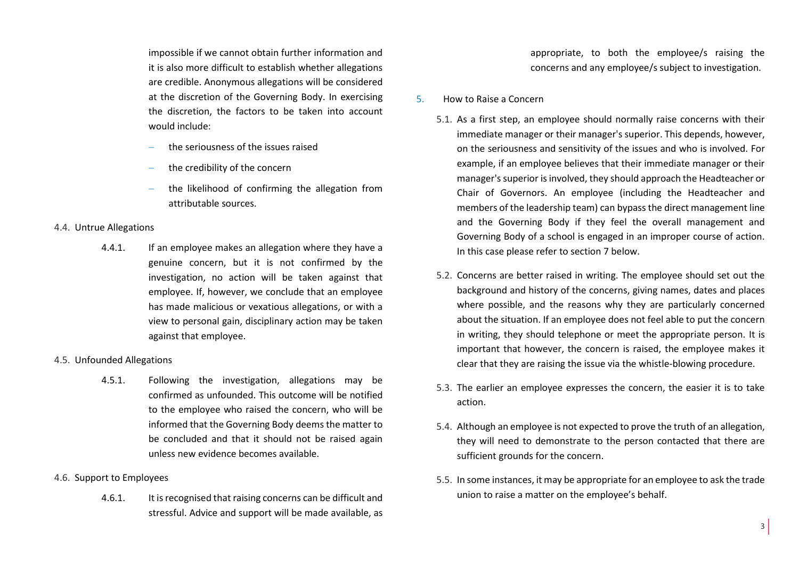impossible if we cannot obtain further information and it is also more difficult to establish whether allegations are credible. Anonymous allegations will be considered at the discretion of the Governing Body. In exercising the discretion, the factors to be taken into account would include:

- the seriousness of the issues raised
- the credibility of the concern
- the likelihood of confirming the allegation from attributable sources.

## 4.4. Untrue Allegations

4.4.1. If an employee makes an allegation where they have a genuine concern, but it is not confirmed by the investigation, no action will be taken against that employee. If, however, we conclude that an employee has made malicious or vexatious allegations, or with a view to personal gain, disciplinary action may be taken against that employee.

# 4.5. Unfounded Allegations

4.5.1. Following the investigation, allegations may be confirmed as unfounded. This outcome will be notified to the employee who raised the concern, who will be informed that the Governing Body deems the matter to be concluded and that it should not be raised again unless new evidence becomes available.

## 4.6. Support to Employees

4.6.1. It is recognised that raising concerns can be difficult and stressful. Advice and support will be made available, as appropriate, to both the employee/s raising the concerns and any employee/s subject to investigation.

## 5. How to Raise a Concern

- 5.1. As a first step, an employee should normally raise concerns with their immediate manager or their manager's superior. This depends, however, on the seriousness and sensitivity of the issues and who is involved. For example, if an employee believes that their immediate manager or their manager's superior is involved, they should approach the Headteacher or Chair of Governors. An employee (including the Headteacher and members of the leadership team) can bypass the direct management line and the Governing Body if they feel the overall management and Governing Body of a school is engaged in an improper course of action. In this case please refer to section 7 below.
- 5.2. Concerns are better raised in writing. The employee should set out the background and history of the concerns, giving names, dates and places where possible, and the reasons why they are particularly concerned about the situation. If an employee does not feel able to put the concern in writing, they should telephone or meet the appropriate person. It is important that however, the concern is raised, the employee makes it clear that they are raising the issue via the whistle-blowing procedure.
- 5.3. The earlier an employee expresses the concern, the easier it is to take action.
- 5.4. Although an employee is not expected to prove the truth of an allegation, they will need to demonstrate to the person contacted that there are sufficient grounds for the concern.
- 5.5. In some instances, it may be appropriate for an employee to ask the trade union to raise a matter on the employee's behalf.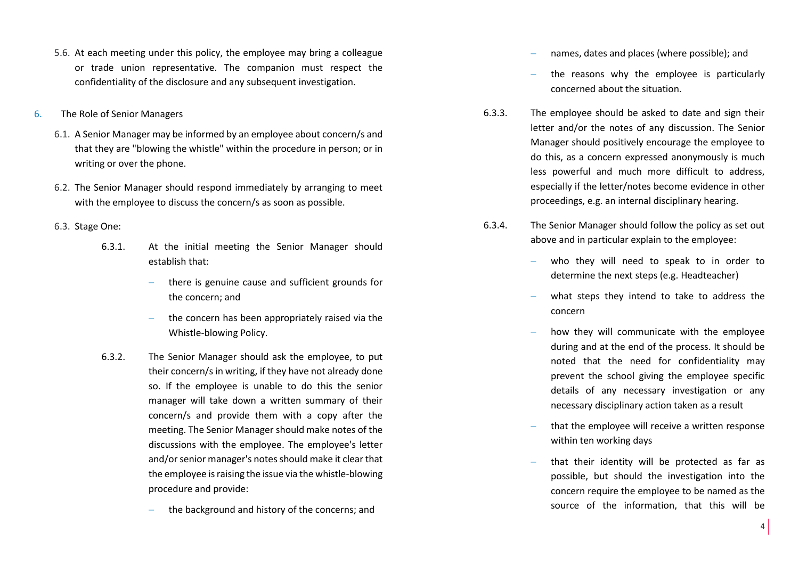- 5.6. At each meeting under this policy, the employee may bring a colleague or trade union representative. The companion must respect the confidentiality of the disclosure and any subsequent investigation.
- 6. The Role of Senior Managers
	- 6.1. A Senior Manager may be informed by an employee about concern/s and that they are "blowing the whistle" within the procedure in person; or in writing or over the phone.
	- 6.2. The Senior Manager should respond immediately by arranging to meet with the employee to discuss the concern/s as soon as possible.
	- 6.3. Stage One:
		- 6.3.1. At the initial meeting the Senior Manager should establish that:
			- there is genuine cause and sufficient grounds for the concern; and
			- the concern has been appropriately raised via the Whistle-blowing Policy.
		- 6.3.2. The Senior Manager should ask the employee, to put their concern/s in writing, if they have not already done so. If the employee is unable to do this the senior manager will take down a written summary of their concern/s and provide them with a copy after the meeting. The Senior Manager should make notes of the discussions with the employee. The employee's letter and/or senior manager's notes should make it clear that the employee is raising the issue via the whistle-blowing procedure and provide:
			- the background and history of the concerns; and
- names, dates and places (where possible); and
- the reasons why the employee is particularly concerned about the situation.
- 6.3.3. The employee should be asked to date and sign their letter and/or the notes of any discussion. The Senior Manager should positively encourage the employee to do this, as a concern expressed anonymously is much less powerful and much more difficult to address, especially if the letter/notes become evidence in other proceedings, e.g. an internal disciplinary hearing.
- 6.3.4. The Senior Manager should follow the policy as set out above and in particular explain to the employee:
	- who they will need to speak to in order to determine the next steps (e.g. Headteacher)
	- what steps they intend to take to address the concern
	- how they will communicate with the employee during and at the end of the process. It should be noted that the need for confidentiality may prevent the school giving the employee specific details of any necessary investigation or any necessary disciplinary action taken as a result
	- that the employee will receive a written response within ten working days
	- that their identity will be protected as far as possible, but should the investigation into the concern require the employee to be named as the source of the information, that this will be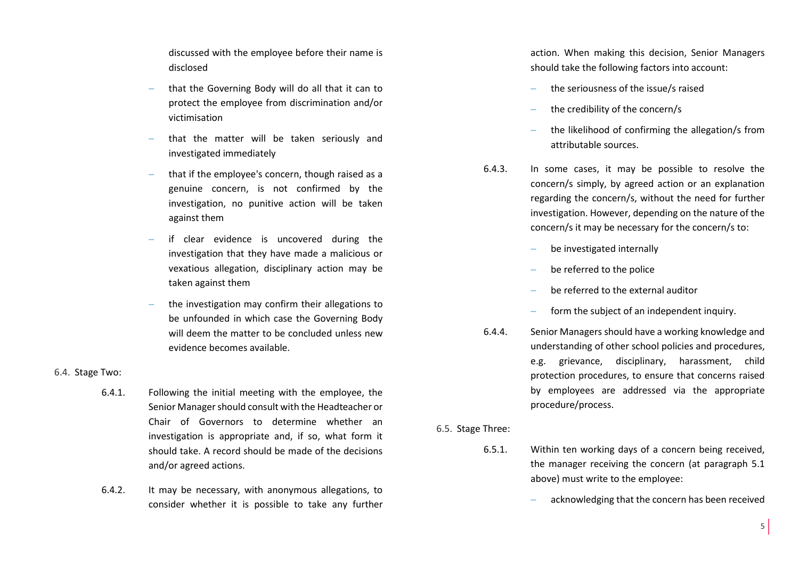discussed with the employee before their name is disclosed

- that the Governing Body will do all that it can to protect the employee from discrimination and/or victimisation
- that the matter will be taken seriously and investigated immediately
- that if the employee's concern, though raised as a genuine concern, is not confirmed by the investigation, no punitive action will be taken against them
- if clear evidence is uncovered during the investigation that they have made a malicious or vexatious allegation, disciplinary action may be taken against them
- the investigation may confirm their allegations to be unfounded in which case the Governing Body will deem the matter to be concluded unless new evidence becomes available.

## 6.4. Stage Two:

- 6.4.1. Following the initial meeting with the employee, the Senior Manager should consult with the Headteacher or Chair of Governors to determine whether an investigation is appropriate and, if so, what form it should take. A record should be made of the decisions and/or agreed actions.
- 6.4.2. It may be necessary, with anonymous allegations, to consider whether it is possible to take any further

action. When making this decision, Senior Managers should take the following factors into account:

- the seriousness of the issue/s raised
- the credibility of the concern/s
- the likelihood of confirming the allegation/s from attributable sources.
- 6.4.3. In some cases, it may be possible to resolve the concern/s simply, by agreed action or an explanation regarding the concern/s, without the need for further investigation. However, depending on the nature of the concern/s it may be necessary for the concern/s to:
	- be investigated internally
	- be referred to the police
	- be referred to the external auditor
	- form the subject of an independent inquiry.
- 6.4.4. Senior Managers should have a working knowledge and understanding of other school policies and procedures, e.g. grievance, disciplinary, harassment, child protection procedures, to ensure that concerns raised by employees are addressed via the appropriate procedure/process.

6.5. Stage Three:

- 6.5.1. Within ten working days of a concern being received, the manager receiving the concern (at paragraph 5.1 above) must write to the employee:
	- acknowledging that the concern has been received